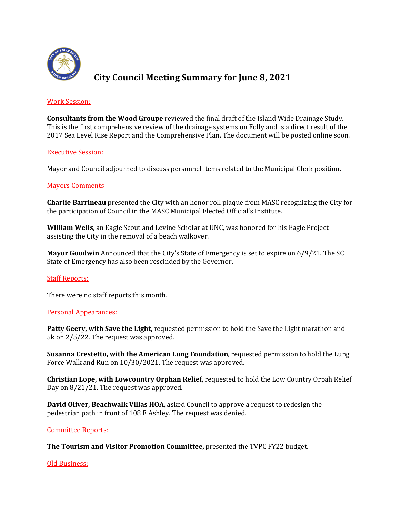

# **City Council Meeting Summary for June 8, 2021**

## Work Session:

**Consultants from the Wood Groupe** reviewed the final draft of the Island Wide Drainage Study. This is the first comprehensive review of the drainage systems on Folly and is a direct result of the 2017 Sea Level Rise Report and the Comprehensive Plan. The document will be posted online soon.

## **Executive Session:**

Mayor and Council adjourned to discuss personnel items related to the Municipal Clerk position.

## Mayors Comments

**Charlie Barrineau** presented the City with an honor roll plaque from MASC recognizing the City for the participation of Council in the MASC Municipal Elected Official's Institute.

**William Wells,** an Eagle Scout and Levine Scholar at UNC, was honored for his Eagle Project assisting the City in the removal of a beach walkover.

**Mayor Goodwin** Announced that the City's State of Emergency is set to expire on 6/9/21. The SC State of Emergency has also been rescinded by the Governor.

## **Staff Reports:**

There were no staff reports this month.

## Personal Appearances:

**Patty Geery, with Save the Light,** requested permission to hold the Save the Light marathon and 5k on  $2/5/22$ . The request was approved.

**Susanna Crestetto, with the American Lung Foundation, requested permission to hold the Lung** Force Walk and Run on 10/30/2021. The request was approved.

**Christian Lope, with Lowcountry Orphan Relief, requested to hold the Low Country Orpah Relief** Day on  $8/21/21$ . The request was approved.

**David Oliver, Beachwalk Villas HOA,** asked Council to approve a request to redesign the pedestrian path in front of 108 E Ashley. The request was denied.

## Committee Reports:

**The Tourism and Visitor Promotion Committee,** presented the TVPC FY22 budget.

### Old Business: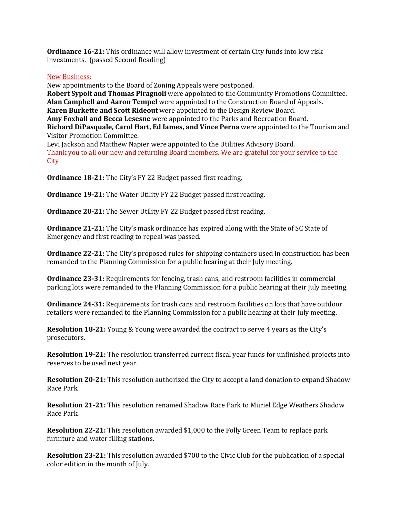**Ordinance 16-21:** This ordinance will allow investment of certain City funds into low risk investments. (passed Second Reading)

## New Business:

New appointments to the Board of Zoning Appeals were postponed. **Robert Sypolt and Thomas Piragnoli** were appointed to the Community Promotions Committee. **Alan Campbell and Aaron Tempel** were appointed to the Construction Board of Appeals. **Karen Burkette and Scott Rideout** were appointed to the Design Review Board. **Amy Foxhall and Becca Lesesne** were appointed to the Parks and Recreation Board. **Richard DiPasquale, Carol Hart, Ed Iames, and Vince Perna** were appointed to the Tourism and Visitor Promotion Committee. Levi Jackson and Matthew Napier were appointed to the Utilities Advisory Board.

Thank you to all our new and returning Board members. We are grateful for your service to the City!

**Ordinance 18-21:** The City's FY 22 Budget passed first reading.

**Ordinance 19-21:** The Water Utility FY 22 Budget passed first reading.

**Ordinance 20-21:** The Sewer Utility FY 22 Budget passed first reading.

**Ordinance 21-21:** The City's mask ordinance has expired along with the State of SC State of Emergency and first reading to repeal was passed.

**Ordinance 22-21:** The City's proposed rules for shipping containers used in construction has been remanded to the Planning Commission for a public hearing at their July meeting.

**Ordinance 23-31:** Requirements for fencing, trash cans, and restroom facilities in commercial parking lots were remanded to the Planning Commission for a public hearing at their July meeting.

**Ordinance 24-31:** Requirements for trash cans and restroom facilities on lots that have outdoor retailers were remanded to the Planning Commission for a public hearing at their July meeting.

**Resolution 18-21:** Young & Young were awarded the contract to serve 4 years as the City's prosecutors.

**Resolution 19-21:** The resolution transferred current fiscal year funds for unfinished projects into reserves to be used next year.

**Resolution 20-21:** This resolution authorized the City to accept a land donation to expand Shadow Race Park.

**Resolution 21-21:** This resolution renamed Shadow Race Park to Muriel Edge Weathers Shadow Race Park.

**Resolution 22-21:** This resolution awarded \$1,000 to the Folly Green Team to replace park furniture and water filling stations.

**Resolution 23-21:** This resolution awarded \$700 to the Civic Club for the publication of a special color edition in the month of July.